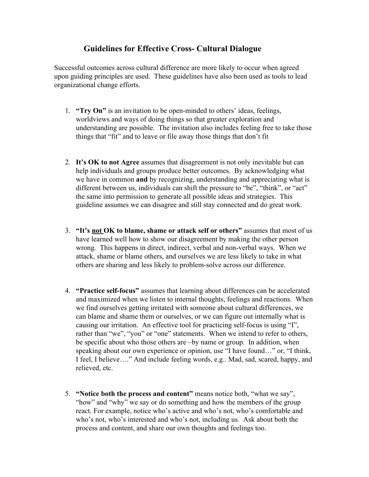## **Guidelines for Effective Cross- Cultural Dialogue**

Successful outcomes across cultural difference are more likely to occur when agreed upon guiding principles are used. These guidelines have also been used as tools to lead organizational change efforts.

- 1. **"Try On"** is an invitation to be open-minded to others' ideas, feelings, worldviews and ways of doing things so that greater exploration and understanding are possible. The invitation also includes feeling free to take those things that "fit" and to leave or file away those things that don't fit
- 2. **It's OK to not Agree** assumes that disagreement is not only inevitable but can help individuals and groups produce better outcomes. By acknowledging what we have in common **and** by recognizing, understanding and appreciating what is different between us, individuals can shift the pressure to "be", "think", or "act" the same into permission to generate all possible ideas and strategies. This guideline assumes we can disagree and still stay connected and do great work.
- 3. **"It's not OK to blame, shame or attack self or others"** assumes that most of us have learned well how to show our disagreement by making the other person wrong. This happens in direct, indirect, verbal and non-verbal ways. When we attack, shame or blame others, and ourselves we are less likely to take in what others are sharing and less likely to problem-solve across our difference.
- 4. **"Practice self-focus"** assumes that learning about differences can be accelerated and maximized when we listen to internal thoughts, feelings and reactions. When we find ourselves getting irritated with someone about cultural differences, we can blame and shame them or ourselves, or we can figure out internally what is causing our irritation. An effective tool for practicing self-focus is using "I", rather than "we", "you" or "one" statements. When we intend to refer to others, be specific about who those others are –by name or group. In addition, when speaking about our own experience or opinion, use "I have found…" or, "I think, I feel, I believe…." And include feeling words, e.g.. Mad, sad, scared, happy, and relieved, etc.
- 5. **"Notice both the process and content"** means notice both, "what we say", "how" and "why" we say or do something and how the members of the group react. For example, notice who's active and who's not, who's comfortable and who's not, who's interested and who's not, including us. Ask about both the process and content, and share our own thoughts and feelings too.